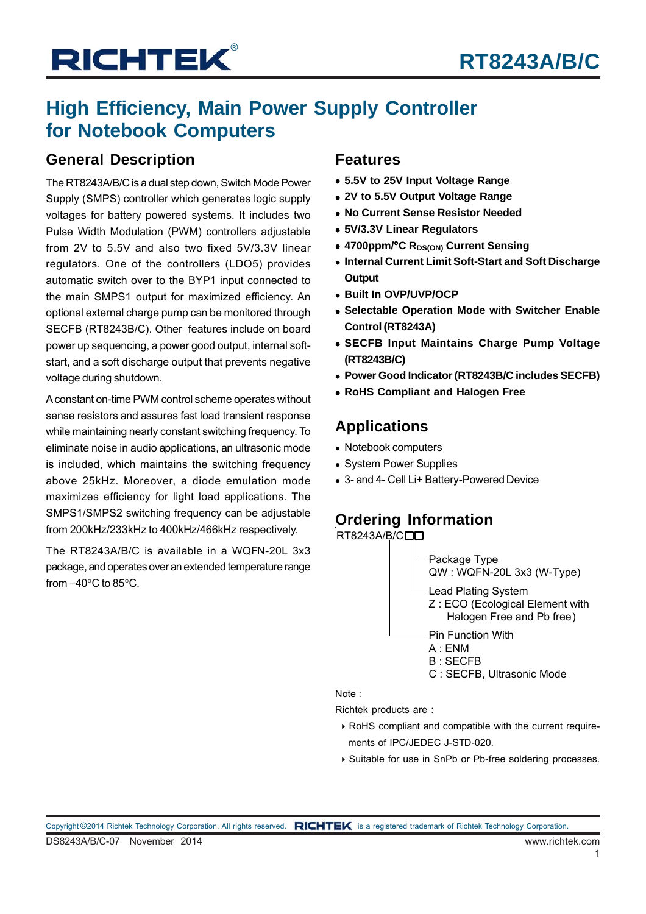## **High Efficiency, Main Power Supply Controller for Notebook Computers**

### **General Description**

The RT8243A/B/C is a dual step down, Switch Mode Power Supply (SMPS) controller which generates logic supply voltages for battery powered systems. It includes two Pulse Width Modulation (PWM) controllers adjustable from 2V to 5.5V and also two fixed 5V/3.3V linear regulators. One of the controllers (LDO5) provides automatic switch over to the BYP1 input connected to the main SMPS1 output for maximized efficiency. An optional external charge pump can be monitored through SECFB (RT8243B/C). Other features include on board power up sequencing, a power good output, internal softstart, and a soft discharge output that prevents negative voltage during shutdown.

A constant on-time PWM control scheme operates without sense resistors and assures fast load transient response while maintaining nearly constant switching frequency. To eliminate noise in audio applications, an ultrasonic mode is included, which maintains the switching frequency above 25kHz. Moreover, a diode emulation mode maximizes efficiency for light load applications. The SMPS1/SMPS2 switching frequency can be adjustable from 200kHz/233kHz to 400kHz/466kHz respectively.

The RT8243A/B/C is available in a WQFN-20L 3x3 package, and operates over an extended temperature range from  $-40^\circ$ C to 85 $^\circ$ C.

### **Features**

- **5.5V to 25V Input Voltage Range**
- **2V to 5.5V Output Voltage Range**
- **No Current Sense Resistor Needed**
- **5V/3.3V Linear Regulators**
- **4700ppm/°C RDS(ON) Current Sensing**
- **Internal Current Limit Soft-Start and Soft Discharge Output**
- **Built In OVP/UVP/OCP**
- **Selectable Operation Mode with Switcher Enable Control (RT8243A)**
- **SECFB Input Maintains Charge Pump Voltage (RT8243B/C)**
- **Power Good Indicator (RT8243B/C includes SECFB)**
- **RoHS Compliant and Halogen Free**

## **Applications**

- Notebook computers
- System Power Supplies
- 3- and 4- Cell Li+ Battery-Powered Device

## **Ordering Information**



Note :

Richtek products are :

- RoHS compliant and compatible with the current require ments of IPC/JEDEC J-STD-020.
- Suitable for use in SnPb or Pb-free soldering processes.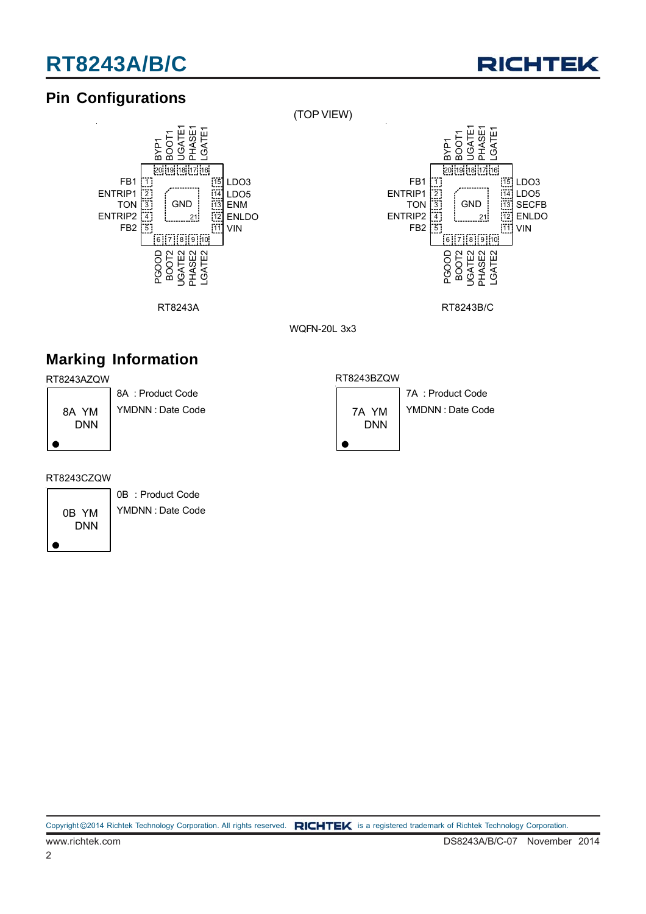

## **Pin Configurations**



(TOP VIEW)



RT8243A RT8243B/C

WQFN-20L 3x3

## **Marking Information**

#### RT8243AZQW



8A : Product Code YMDNN : Date Code

#### RT8243BZQW



7A : Product Code YMDNN : Date Code

#### RT8243CZQW

0B YM DNN

0B : Product Code YMDNN : Date Code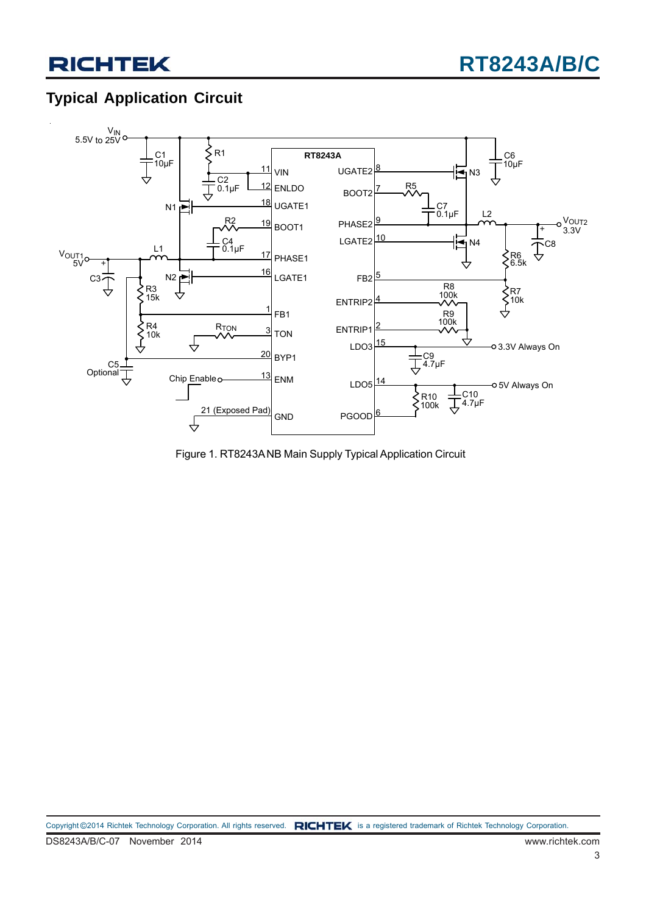## **Typical Application Circuit**



Figure 1. RT8243A NB Main Supply Typical Application Circuit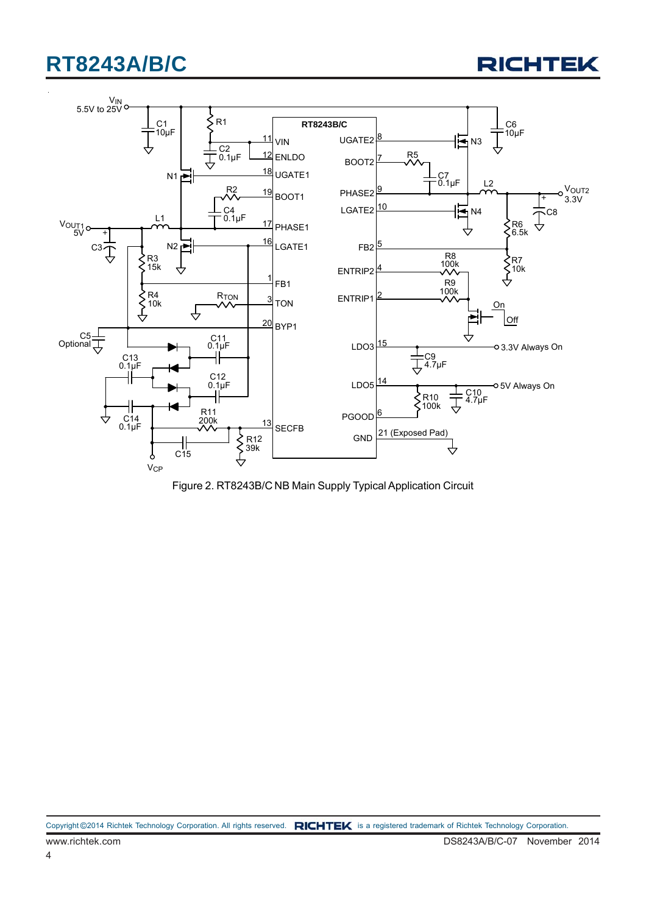



Figure 2. RT8243B/C NB Main Supply Typical Application Circuit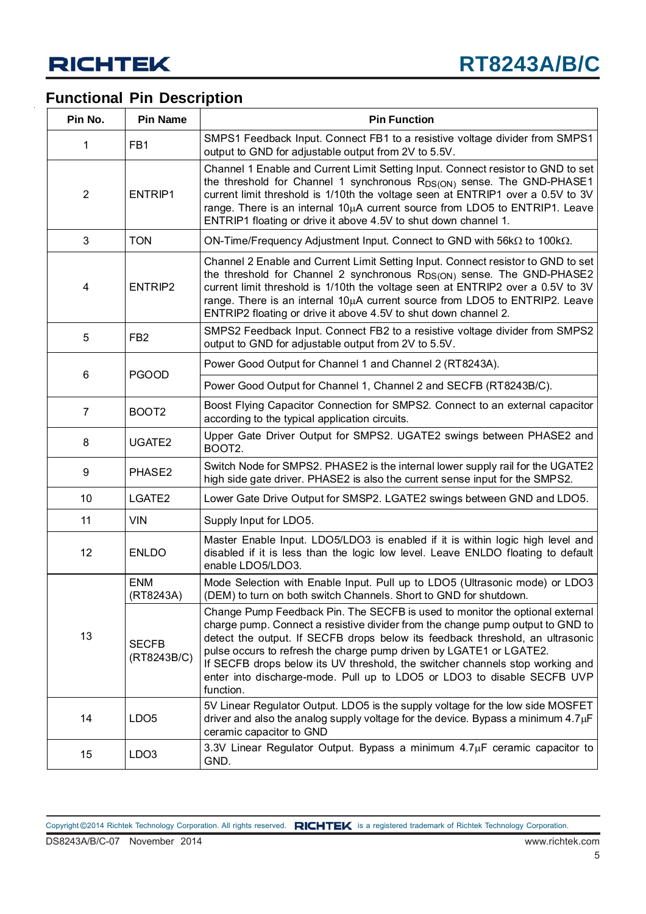## **Functional Pin Description**

| Pin No.                             | <b>Pin Name</b>             | <b>Pin Function</b>                                                                                                                                                                                                                                                                                                                                                                                                                                                                             |
|-------------------------------------|-----------------------------|-------------------------------------------------------------------------------------------------------------------------------------------------------------------------------------------------------------------------------------------------------------------------------------------------------------------------------------------------------------------------------------------------------------------------------------------------------------------------------------------------|
| 1                                   | FB1                         | SMPS1 Feedback Input. Connect FB1 to a resistive voltage divider from SMPS1<br>output to GND for adjustable output from 2V to 5.5V.                                                                                                                                                                                                                                                                                                                                                             |
| $\overline{2}$<br>ENTRIP1           |                             | Channel 1 Enable and Current Limit Setting Input. Connect resistor to GND to set<br>the threshold for Channel 1 synchronous R <sub>DS(ON)</sub> sense. The GND-PHASE1<br>current limit threshold is 1/10th the voltage seen at ENTRIP1 over a 0.5V to 3V<br>range. There is an internal 10µA current source from LDO5 to ENTRIP1. Leave<br>ENTRIP1 floating or drive it above 4.5V to shut down channel 1.                                                                                      |
| 3                                   | <b>TON</b>                  | ON-Time/Frequency Adjustment Input. Connect to GND with 56 $k\Omega$ to 100 $k\Omega$ .                                                                                                                                                                                                                                                                                                                                                                                                         |
| ENTRIP2<br>4                        |                             | Channel 2 Enable and Current Limit Setting Input. Connect resistor to GND to set<br>the threshold for Channel 2 synchronous R <sub>DS(ON)</sub> sense. The GND-PHASE2<br>current limit threshold is 1/10th the voltage seen at ENTRIP2 over a 0.5V to 3V<br>range. There is an internal 10µA current source from LDO5 to ENTRIP2. Leave<br>ENTRIP2 floating or drive it above 4.5V to shut down channel 2.                                                                                      |
| 5                                   | FB <sub>2</sub>             | SMPS2 Feedback Input. Connect FB2 to a resistive voltage divider from SMPS2<br>output to GND for adjustable output from 2V to 5.5V.                                                                                                                                                                                                                                                                                                                                                             |
|                                     | <b>PGOOD</b>                | Power Good Output for Channel 1 and Channel 2 (RT8243A).                                                                                                                                                                                                                                                                                                                                                                                                                                        |
| 6                                   |                             | Power Good Output for Channel 1, Channel 2 and SECFB (RT8243B/C).                                                                                                                                                                                                                                                                                                                                                                                                                               |
| $\overline{7}$<br>BOOT <sub>2</sub> |                             | Boost Flying Capacitor Connection for SMPS2. Connect to an external capacitor<br>according to the typical application circuits.                                                                                                                                                                                                                                                                                                                                                                 |
| 8<br>UGATE <sub>2</sub>             |                             | Upper Gate Driver Output for SMPS2. UGATE2 swings between PHASE2 and<br>BOOT2.                                                                                                                                                                                                                                                                                                                                                                                                                  |
| 9                                   | PHASE2                      | Switch Node for SMPS2. PHASE2 is the internal lower supply rail for the UGATE2<br>high side gate driver. PHASE2 is also the current sense input for the SMPS2.                                                                                                                                                                                                                                                                                                                                  |
| 10                                  | LGATE2                      | Lower Gate Drive Output for SMSP2. LGATE2 swings between GND and LDO5.                                                                                                                                                                                                                                                                                                                                                                                                                          |
| 11                                  | <b>VIN</b>                  | Supply Input for LDO5.                                                                                                                                                                                                                                                                                                                                                                                                                                                                          |
| 12                                  | <b>ENLDO</b>                | Master Enable Input. LDO5/LDO3 is enabled if it is within logic high level and<br>disabled if it is less than the logic low level. Leave ENLDO floating to default<br>enable LDO5/LDO3.                                                                                                                                                                                                                                                                                                         |
|                                     | <b>ENM</b><br>(RT8243A)     | Mode Selection with Enable Input. Pull up to LDO5 (Ultrasonic mode) or LDO3<br>(DEM) to turn on both switch Channels. Short to GND for shutdown.                                                                                                                                                                                                                                                                                                                                                |
| 13                                  | <b>SECFB</b><br>(RT8243B/C) | Change Pump Feedback Pin. The SECFB is used to monitor the optional external<br>charge pump. Connect a resistive divider from the change pump output to GND to<br>detect the output. If SECFB drops below its feedback threshold, an ultrasonic<br>pulse occurs to refresh the charge pump driven by LGATE1 or LGATE2.<br>If SECFB drops below its UV threshold, the switcher channels stop working and<br>enter into discharge-mode. Pull up to LDO5 or LDO3 to disable SECFB UVP<br>function. |
| 14                                  | LDO <sub>5</sub>            | 5V Linear Regulator Output. LDO5 is the supply voltage for the low side MOSFET<br>driver and also the analog supply voltage for the device. Bypass a minimum $4.7\mu$ F<br>ceramic capacitor to GND                                                                                                                                                                                                                                                                                             |
| 15                                  | LDO <sub>3</sub>            | 3.3V Linear Regulator Output. Bypass a minimum 4.7µF ceramic capacitor to<br>GND.                                                                                                                                                                                                                                                                                                                                                                                                               |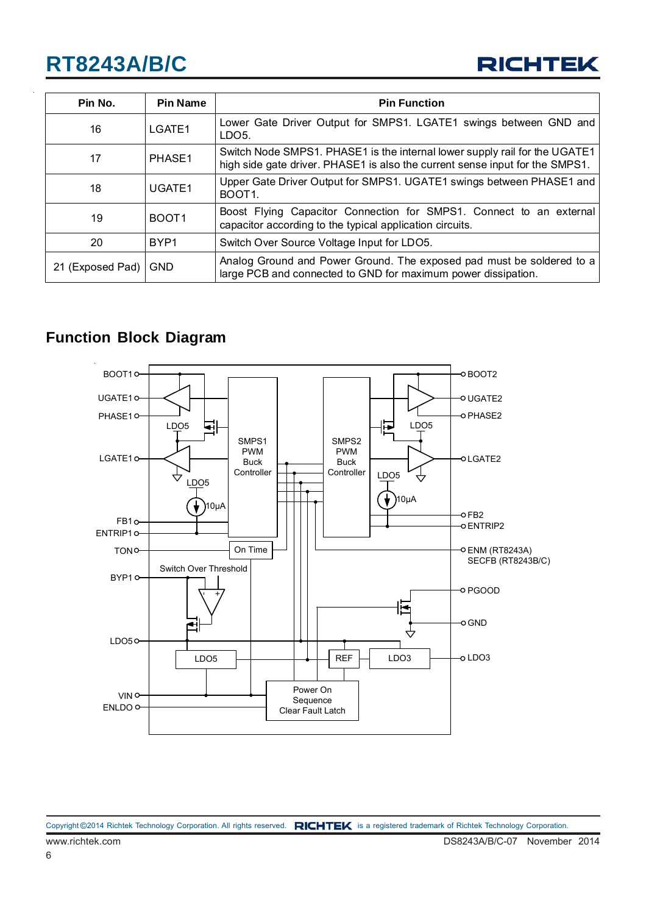

| Pin No.          | <b>Pin Name</b>   | <b>Pin Function</b>                                                                                                                                        |
|------------------|-------------------|------------------------------------------------------------------------------------------------------------------------------------------------------------|
| 16               | LGATE1            | Lower Gate Driver Output for SMPS1. LGATE1 swings between GND and<br>LDO <sub>5</sub> .                                                                    |
| 17               | PHASE1            | Switch Node SMPS1. PHASE1 is the internal lower supply rail for the UGATE1<br>high side gate driver. PHASE1 is also the current sense input for the SMPS1. |
| 18               | UGATE1            | Upper Gate Driver Output for SMPS1. UGATE1 swings between PHASE1 and<br>BOOT <sub>1</sub>                                                                  |
| 19               | BOOT <sub>1</sub> | Boost Flying Capacitor Connection for SMPS1. Connect to an external<br>capacitor according to the typical application circuits.                            |
| 20               | BYP <sub>1</sub>  | Switch Over Source Voltage Input for LDO5.                                                                                                                 |
| 21 (Exposed Pad) | <b>GND</b>        | Analog Ground and Power Ground. The exposed pad must be soldered to a<br>large PCB and connected to GND for maximum power dissipation.                     |

## **Function Block Diagram**

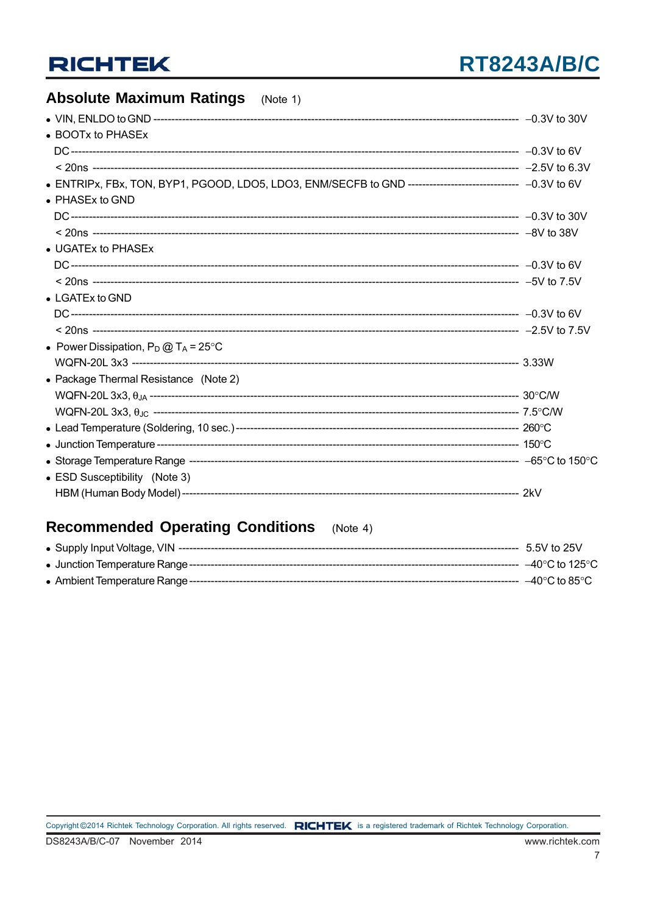## **Absolute Maximum Ratings** (Note 1)

| • BOOTx to PHASEx                                                                                          |  |
|------------------------------------------------------------------------------------------------------------|--|
|                                                                                                            |  |
|                                                                                                            |  |
| • ENTRIPx, FBx, TON, BYP1, PGOOD, LDO5, LDO3, ENM/SECFB to GND ------------------------------- -0.3V to 6V |  |
| • PHASEx to GND                                                                                            |  |
|                                                                                                            |  |
|                                                                                                            |  |
| • UGATEx to PHASEx                                                                                         |  |
|                                                                                                            |  |
|                                                                                                            |  |
| • LGATEx to GND                                                                                            |  |
|                                                                                                            |  |
|                                                                                                            |  |
| • Power Dissipation, $P_D @ T_A = 25^{\circ}C$                                                             |  |
|                                                                                                            |  |
| • Package Thermal Resistance (Note 2)                                                                      |  |
|                                                                                                            |  |
|                                                                                                            |  |
|                                                                                                            |  |
|                                                                                                            |  |
|                                                                                                            |  |
| • ESD Susceptibility (Note 3)                                                                              |  |
|                                                                                                            |  |
|                                                                                                            |  |

### Recommended Operating Conditions (Note 4)

|                                            | 5.5V to 25V                        |
|--------------------------------------------|------------------------------------|
|                                            | –40°C to 125°C                     |
| • Ambient Temperature Range -------------- | $-40^{\circ}$ C to 85 $^{\circ}$ C |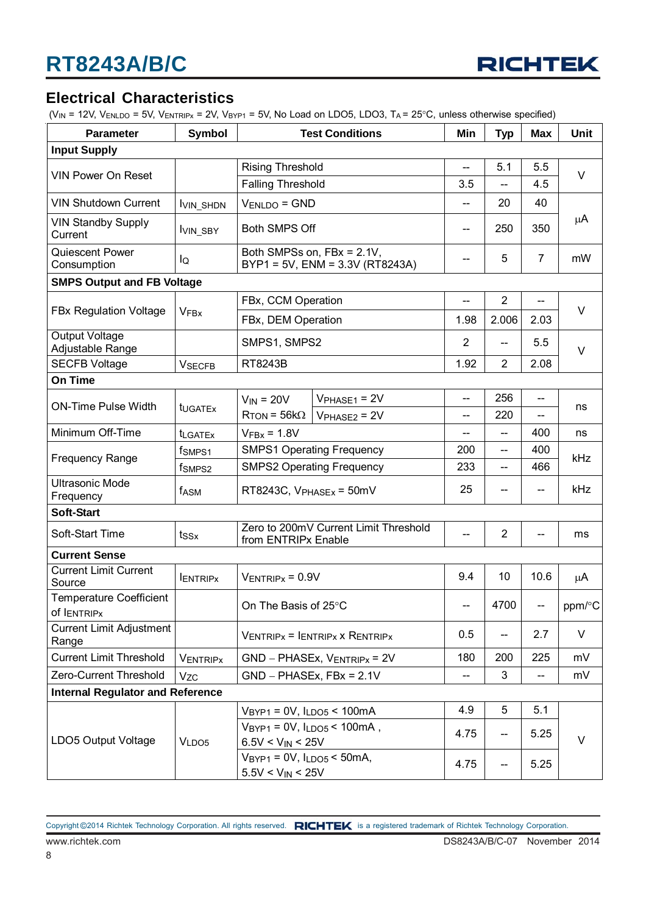

## **Electrical Characteristics**

( $V_{IN}$  = 12V,  $V_{ENLDO}$  = 5V,  $V_{ENTRIPX}$  = 2V,  $V_{BYPI}$  = 5V, No Load on LDO5, LDO3, T<sub>A</sub> = 25°C, unless otherwise specified)

| <b>Parameter</b>                              | Symbol              | <b>Test Conditions</b>                                         |                                                               | Min                      | <b>Typ</b>     | <b>Max</b>               | Unit    |
|-----------------------------------------------|---------------------|----------------------------------------------------------------|---------------------------------------------------------------|--------------------------|----------------|--------------------------|---------|
| <b>Input Supply</b>                           |                     |                                                                |                                                               |                          |                |                          |         |
|                                               |                     | <b>Rising Threshold</b>                                        |                                                               | $\overline{a}$           | 5.1            | 5.5                      |         |
| <b>VIN Power On Reset</b>                     |                     | <b>Falling Threshold</b>                                       |                                                               | 3.5                      | --             | 4.5                      | $\vee$  |
| <b>VIN Shutdown Current</b>                   | <b>IVIN_SHDN</b>    | $V_{ENLDO} = GND$                                              |                                                               | --                       | 20             | 40                       |         |
| <b>VIN Standby Supply</b><br>Current          | <b>IVIN_SBY</b>     | <b>Both SMPS Off</b>                                           |                                                               | $- -$                    | 250            | 350                      | $\mu$ A |
| Quiescent Power<br>Consumption                | lQ                  |                                                                | Both SMPSs on, FBx = 2.1V,<br>BYP1 = 5V, ENM = 3.3V (RT8243A) | --                       | 5              | $\overline{7}$           | mW      |
| <b>SMPS Output and FB Voltage</b>             |                     |                                                                |                                                               |                          |                |                          |         |
|                                               |                     | FBx, CCM Operation                                             |                                                               | --                       | $\overline{2}$ | --                       |         |
| <b>FBx Regulation Voltage</b>                 | <b>VFBx</b>         | FBx, DEM Operation                                             |                                                               | 1.98                     | 2.006          | 2.03                     | V       |
| Output Voltage<br>Adjustable Range            |                     | SMPS1, SMPS2                                                   |                                                               | $\overline{2}$           | --             | 5.5                      | $\vee$  |
| <b>SECFB Voltage</b>                          | <b>VSECFB</b>       | RT8243B                                                        |                                                               | 1.92                     | $\overline{2}$ | 2.08                     |         |
| On Time                                       |                     |                                                                |                                                               |                          |                |                          |         |
| <b>ON-Time Pulse Width</b>                    | t <sub>UGATEx</sub> | $V_{IN} = 20V$<br>$R_{TON} = 56k\Omega$                        | $VPHASE1 = 2V$                                                | $\overline{\phantom{a}}$ | 256            | $\overline{\phantom{a}}$ | ns      |
|                                               |                     |                                                                | $VPHASE2 = 2V$                                                | $-$                      | 220            | --                       |         |
| Minimum Off-Time                              | <b>t</b> LGATEx     | $VFBX = 1.8V$                                                  |                                                               | --                       | --             | 400                      | ns      |
|                                               | f <sub>SMPS1</sub>  |                                                                | <b>SMPS1 Operating Frequency</b>                              |                          | --             | 400                      | kHz     |
| <b>Frequency Range</b>                        | f <sub>SMPS2</sub>  |                                                                | <b>SMPS2 Operating Frequency</b>                              |                          | --             | 466                      |         |
| <b>Ultrasonic Mode</b><br>Frequency           | f <sub>ASM</sub>    | RT8243C, $V_{PHASEX}$ = 50mV                                   |                                                               | 25                       | --             | $\hspace{0.05cm}$        | kHz     |
| Soft-Start                                    |                     |                                                                |                                                               |                          |                |                          |         |
| Soft-Start Time                               | tssx                | from ENTRIPx Enable                                            | Zero to 200mV Current Limit Threshold                         | $-$                      | $\overline{2}$ | $\overline{\phantom{a}}$ | ms      |
| <b>Current Sense</b>                          |                     |                                                                |                                                               |                          |                |                          |         |
| <b>Current Limit Current</b><br>Source        | <b>IENTRIPX</b>     | $V_{ENTRIPx} = 0.9V$                                           |                                                               | 9.4                      | 10             | 10.6                     | μA      |
| <b>Temperature Coefficient</b><br>of IENTRIPX |                     | On The Basis of 25°C                                           |                                                               | $--$                     | 4700           | <b>Common</b>            | ppm/°C  |
| <b>Current Limit Adjustment</b><br>Range      |                     |                                                                | $V_{ENTRIPx}$ = $I_{ENTRIPx}$ x Rentripx                      |                          | --             | 2.7                      | V       |
| <b>Current Limit Threshold</b>                | <b>VENTRIPX</b>     | $GND - PHASEx, V_{ENTRIPx} = 2V$                               |                                                               | 180                      | 200            | 225                      | mV      |
| Zero-Current Threshold                        | Vzc                 | $GND - PHASEx, FBx = 2.1V$                                     |                                                               | $\overline{\phantom{a}}$ | 3              | --                       | mV      |
| <b>Internal Regulator and Reference</b>       |                     |                                                                |                                                               |                          |                |                          |         |
|                                               |                     | $VBYP1 = 0V, ILDO5 < 100mA$                                    |                                                               | 4.9                      | 5              | 5.1                      |         |
|                                               |                     | $V_{BYP1} = 0V$ , $I_{LDOS} < 100mA$ ,                         |                                                               | 4.75                     | --             | 5.25                     |         |
| LDO5 Output Voltage                           | VLDO <sub>5</sub>   | $6.5V < V_{IN} < 25V$                                          |                                                               |                          |                |                          | V       |
|                                               |                     | $V_{BYP1} = 0V$ , $I_{LDO5} < 50mA$ ,<br>$5.5V < V_{IN} < 25V$ |                                                               | 4.75                     | --             | 5.25                     |         |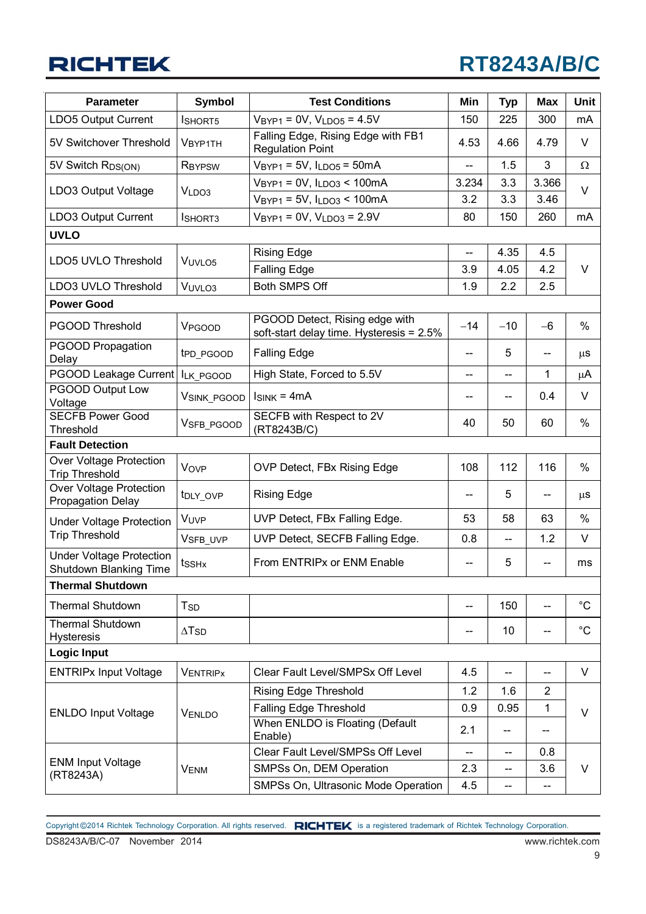# **RT8243A/B/C**

| <b>Parameter</b>                                           | <b>Symbol</b>            | <b>Test Conditions</b>                                                     |                          | <b>Typ</b> | <b>Max</b>               | Unit         |  |
|------------------------------------------------------------|--------------------------|----------------------------------------------------------------------------|--------------------------|------------|--------------------------|--------------|--|
| LDO5 Output Current                                        | <b>ISHORT5</b>           | $V_{BYP1} = 0V$ , $V_{LDO5} = 4.5V$                                        | 150                      | 225        | 300                      | mA           |  |
| 5V Switchover Threshold                                    | <b>VBYP1TH</b>           | Falling Edge, Rising Edge with FB1<br><b>Regulation Point</b>              | 4.53                     | 4.66       | 4.79                     | $\vee$       |  |
| 5V Switch R <sub>DS(ON)</sub>                              | <b>RBYPSW</b>            | $VBYP1 = 5V, ILDO5 = 50mA$                                                 | --                       | 1.5        | 3                        | Ω            |  |
| LDO3 Output Voltage                                        | VLDO3                    | $VBYP1 = 0V, ILDO3 < 100mA$                                                | 3.234                    | 3.3        | 3.366                    | $\vee$       |  |
|                                                            |                          | $VBYP1 = 5V, ILDO3 < 100mA$                                                | 3.2                      | 3.3        | 3.46                     |              |  |
| LDO3 Output Current                                        | ISHORT3                  | $V_{BYP1} = 0V$ , $V_{LDO3} = 2.9V$                                        | 80                       | 150        | 260                      | mA           |  |
| <b>UVLO</b>                                                |                          |                                                                            |                          |            |                          |              |  |
| LDO5 UVLO Threshold                                        | VUVLO <sub>5</sub>       | <b>Rising Edge</b>                                                         | --                       | 4.35       | 4.5                      |              |  |
|                                                            |                          | <b>Falling Edge</b>                                                        | 3.9                      | 4.05       | 4.2                      | $\vee$       |  |
| LDO3 UVLO Threshold                                        | VUVLO <sub>3</sub>       | <b>Both SMPS Off</b>                                                       | 1.9                      | 2.2        | 2.5                      |              |  |
| <b>Power Good</b>                                          |                          |                                                                            |                          |            |                          |              |  |
| <b>PGOOD Threshold</b>                                     | VPGOOD                   | PGOOD Detect, Rising edge with<br>soft-start delay time. Hysteresis = 2.5% | $-14$                    | $-10$      | $-6$                     | %            |  |
| PGOOD Propagation<br>Delay                                 | t <sub>PD_PGOOD</sub>    | <b>Falling Edge</b>                                                        | $-$                      | 5          | --                       | $\mu$ S      |  |
| PGOOD Leakage Current   ILK_PGOOD                          |                          | High State, Forced to 5.5V                                                 | --                       | --         | 1                        | μA           |  |
| <b>PGOOD Output Low</b><br>Voltage                         | VSINK_PGOOD              | $I_{SINK} = 4mA$                                                           |                          | --         | 0.4                      | $\vee$       |  |
| <b>SECFB Power Good</b><br>Threshold                       | V <sub>SFB</sub> PGOOD   | SECFB with Respect to 2V<br>(RT8243B/C)                                    | 40                       | 50         | 60                       | %            |  |
| <b>Fault Detection</b>                                     |                          |                                                                            |                          |            |                          |              |  |
| Over Voltage Protection<br><b>Trip Threshold</b>           | Vove                     | OVP Detect, FBx Rising Edge                                                | 108                      | 112        | 116                      | %            |  |
| <b>Over Voltage Protection</b><br><b>Propagation Delay</b> | t <sub>DLY_OVP</sub>     | <b>Rising Edge</b>                                                         | $-$                      | 5          | $\overline{\phantom{a}}$ | $\mu$ S      |  |
| <b>Under Voltage Protection</b>                            | VUVP                     | UVP Detect, FBx Falling Edge.                                              | 53                       | 58         | 63                       | %            |  |
| <b>Trip Threshold</b>                                      | VSFB_UVP                 | UVP Detect, SECFB Falling Edge.                                            | 0.8                      | --         | 1.2                      | $\vee$       |  |
| <b>Under Voltage Protection</b><br>Shutdown Blanking Time  | tss <sub>Hx</sub>        | From ENTRIPx or ENM Enable                                                 | --                       | 5          | $\overline{\phantom{a}}$ | ms           |  |
| <b>Thermal Shutdown</b>                                    |                          |                                                                            |                          |            |                          |              |  |
| <b>Thermal Shutdown</b>                                    | $T_{SD}$                 |                                                                            | --                       | 150        | $\overline{\phantom{a}}$ | $^{\circ}$ C |  |
| <b>Thermal Shutdown</b><br><b>Hysteresis</b>               | $\Delta$ T <sub>SD</sub> |                                                                            | --                       | 10         | --                       | $^{\circ}$ C |  |
| <b>Logic Input</b>                                         |                          |                                                                            |                          |            |                          |              |  |
| <b>ENTRIPx Input Voltage</b>                               | <b>VENTRIPX</b>          | Clear Fault Level/SMPSx Off Level                                          | 4.5                      | --         | --                       | V            |  |
|                                                            |                          | <b>Rising Edge Threshold</b>                                               | 1.2                      | 1.6        | $\overline{c}$           |              |  |
| <b>ENLDO Input Voltage</b>                                 | VENLDO                   | Falling Edge Threshold                                                     | 0.9                      | 0.95       | 1                        | $\vee$       |  |
|                                                            |                          | When ENLDO is Floating (Default<br>Enable)                                 | 2.1                      |            | -−                       |              |  |
|                                                            |                          | Clear Fault Level/SMPSs Off Level                                          | $\overline{\phantom{a}}$ | --         | 0.8                      |              |  |
| <b>ENM Input Voltage</b><br>(RT8243A)                      | <b>VENM</b>              | SMPSs On, DEM Operation                                                    | 2.3                      | --         | 3.6                      | V            |  |
|                                                            |                          | SMPSs On, Ultrasonic Mode Operation                                        | 4.5                      | --         | --                       |              |  |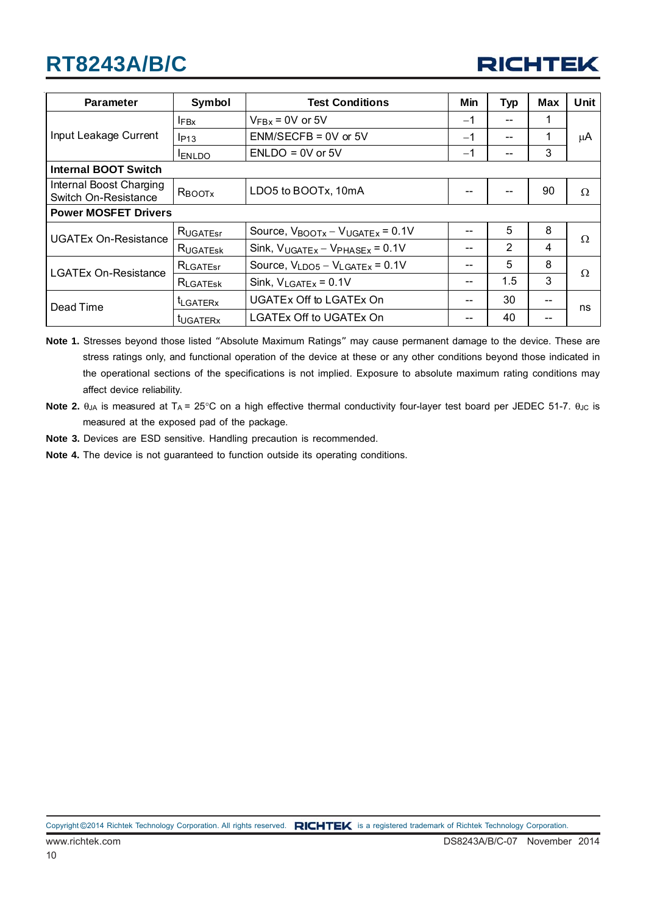

| <b>Parameter</b>                                | Symbol           | <b>Test Conditions</b>                                | <b>Min</b> | <b>Typ</b>     | <b>Max</b> | Unit     |  |
|-------------------------------------------------|------------------|-------------------------------------------------------|------------|----------------|------------|----------|--|
|                                                 | $I_{\text{FBx}}$ | $V_{\text{FBx}}$ = 0V or 5V                           | $-1$       | --             | 1          |          |  |
| Input Leakage Current                           | $I_{P13}$        | $ENM/SECFB = 0V$ or 5V                                | $-1$       | --             | 1          | μA       |  |
|                                                 | <b>ENLDO</b>     | $ENLDO = 0V$ or 5V                                    | $-1$       |                | 3          |          |  |
| <b>Internal BOOT Switch</b>                     |                  |                                                       |            |                |            |          |  |
| Internal Boost Charging<br>Switch On-Resistance | RBOOTX           | LDO5 to BOOTx, 10mA                                   |            |                | 90         | $\Omega$ |  |
| <b>Power MOSFET Drivers</b>                     |                  |                                                       |            |                |            |          |  |
| <b>UGATEx On-Resistance</b>                     | RUGATEST         | Source, $V_{\text{BOOTx}} - V_{\text{UGATEx}} = 0.1V$ | --         | 5              | 8          | Ω        |  |
|                                                 | RUGATESK         | Sink, $V_{UGATEX} - V_{PHASEX} = 0.1V$                |            | $\overline{2}$ | 4          |          |  |
| <b>LGATEx On-Resistance</b>                     | RLGATEST         | Source, $V_{LDO5} - V_{LGATEX} = 0.1V$                | --         | 5              | 8          | Ω        |  |
|                                                 | RLGATESK         | Sink, $V_{LGATEX} = 0.1V$                             | --         | 1.5            | 3          |          |  |
| Dead Time                                       | <b>ILGATERX</b>  | <b>UGATEx Off to LGATEx On</b>                        |            | 30             |            | ns       |  |
|                                                 | tugaterx         | LGATEx Off to UGATEx On                               |            | 40             |            |          |  |

- **Note 1.** Stresses beyond those listed "Absolute Maximum Ratings" may cause permanent damage to the device. These are stress ratings only, and functional operation of the device at these or any other conditions beyond those indicated in the operational sections of the specifications is not implied. Exposure to absolute maximum rating conditions may affect device reliability.
- Note 2.  $θ<sub>JA</sub>$  is measured at T<sub>A</sub> = 25°C on a high effective thermal conductivity four-layer test board per JEDEC 51-7.  $θ<sub>JC</sub>$  is measured at the exposed pad of the package.
- **Note 3.** Devices are ESD sensitive. Handling precaution is recommended.
- **Note 4.** The device is not guaranteed to function outside its operating conditions.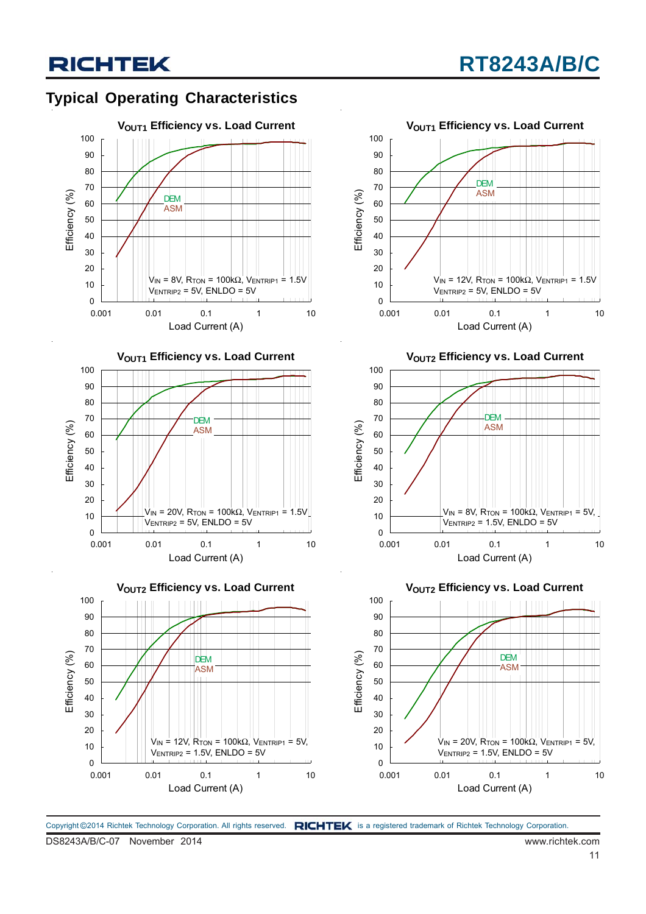## **Typical Operating Characteristics**









**VOUT2 Efficiency vs. Load Current** 



**VOUT2 Efficiency vs. Load Current** 

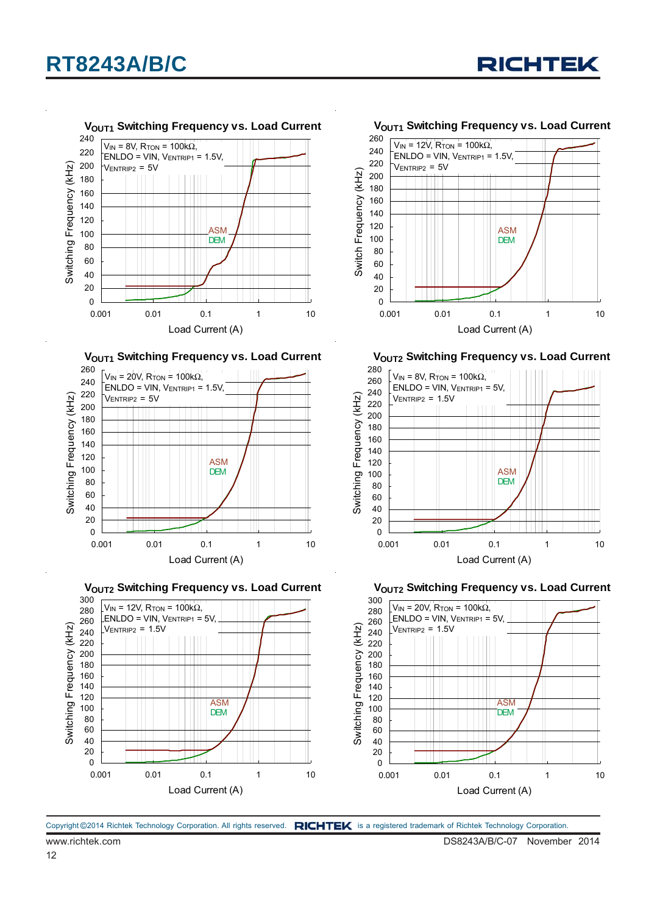



**VOUT1 Switching Frequency vs. Load Current** 



**VOUT2 Switching Frequency vs. Load Current** 



**VOUT1 Switching Frequency vs. Load Current** 



**VOUT2 Switching Frequency vs. Load Current** 



**VOUT2 Switching Frequency vs. Load Current** 

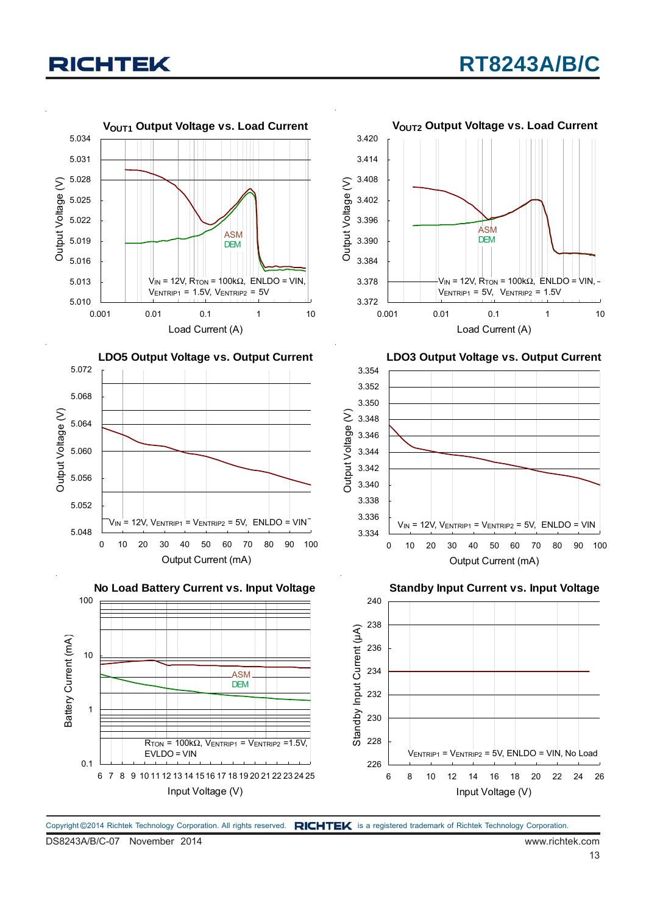

Copyright ©2014 Richtek Technology Corporation. All rights reserved. RICHTEK is a registered trademark of Richtek Technology Corporation.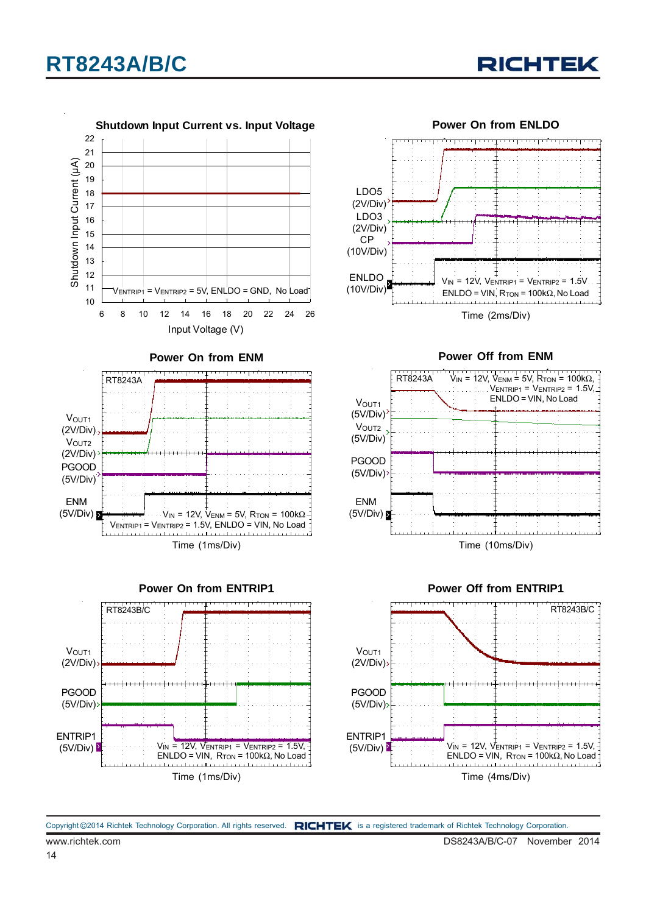



**Power On from ENTRIP1** Time (1ms/Div)  $V_{IN}$  = 12V,  $V_{ENTRIP1}$  =  $V_{ENTRIP2}$  = 1.5V,  $ENLDO = VIN, R<sub>TON</sub> = 100k $\Omega$ , No Load$ V<sub>OUT1</sub> (2V/Div) PGOOD (5V/Div) ENTRIP1  $(5V/Div)$ RT8243B/C



**Power Off from ENM**



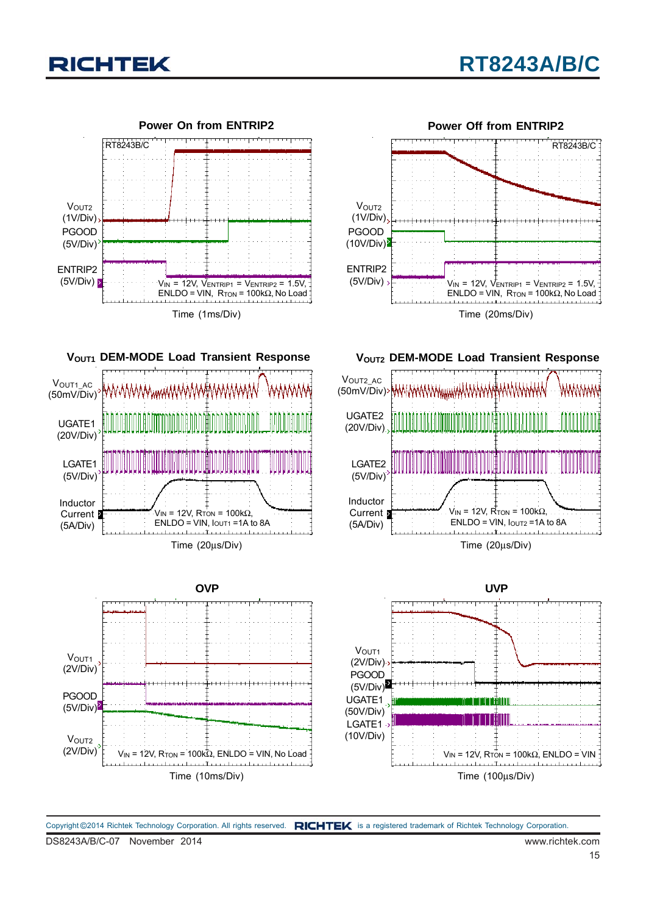













**VOUT2 DEM-MODE Load Transient Response** 



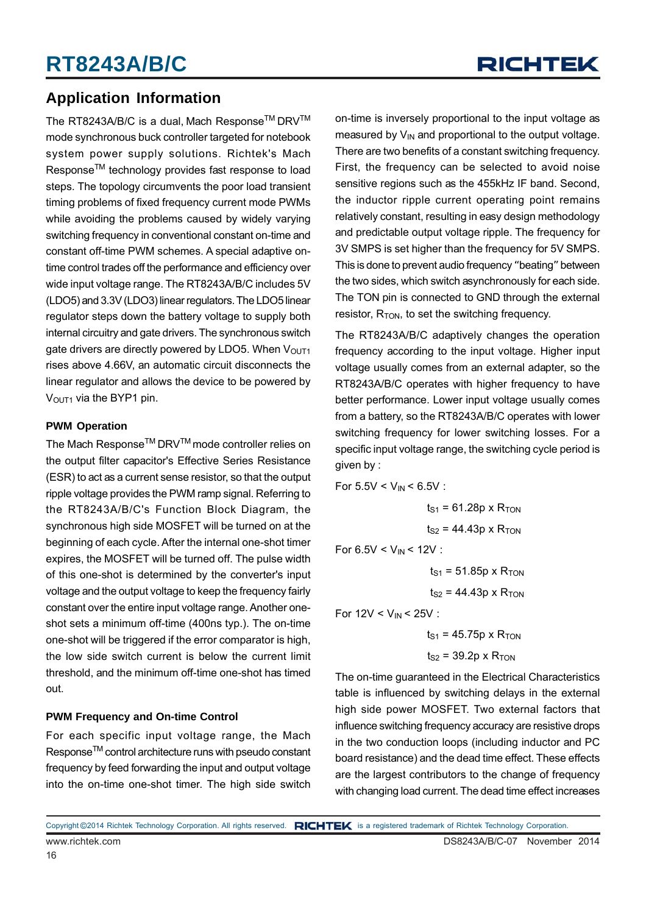### **Application Information**

The RT8243A/B/C is a dual, Mach Response™ DRV™ mode synchronous buck controller targeted for notebook system power supply solutions. Richtek's Mach Response<sup>™</sup> technology provides fast response to load steps. The topology circumvents the poor load transient timing problems of fixed frequency current mode PWMs while avoiding the problems caused by widely varying switching frequency in conventional constant on-time and constant off-time PWM schemes. A special adaptive ontime control trades off the performance and efficiency over wide input voltage range. The RT8243A/B/C includes 5V (LDO5) and 3.3V (LDO3) linear regulators. The LDO5 linear regulator steps down the battery voltage to supply both internal circuitry and gate drivers. The synchronous switch gate drivers are directly powered by LDO5. When V<sub>OUT1</sub> rises above 4.66V, an automatic circuit disconnects the linear regulator and allows the device to be powered by  $V<sub>OUT1</sub>$  via the BYP1 pin.

#### **PWM Operation**

The Mach Response<sup>™</sup> DRV<sup>™</sup> mode controller relies on the output filter capacitor's Effective Series Resistance (ESR) to act as a current sense resistor, so that the output ripple voltage provides the PWM ramp signal. Referring to the RT8243A/B/C's Function Block Diagram, the synchronous high side MOSFET will be turned on at the beginning of each cycle. After the internal one-shot timer expires, the MOSFET will be turned off. The pulse width of this one-shot is determined by the converter's input voltage and the output voltage to keep the frequency fairly constant over the entire input voltage range. Another oneshot sets a minimum off-time (400ns typ.). The on-time one-shot will be triggered if the error comparator is high, the low side switch current is below the current limit threshold, and the minimum off-time one-shot has timed out.

#### **PWM Frequency and On-time Control**

For each specific input voltage range, the Mach Response<sup>™</sup> control architecture runs with pseudo constant frequency by feed forwarding the input and output voltage into the on-time one-shot timer. The high side switch

on-time is inversely proportional to the input voltage as measured by  $V_{IN}$  and proportional to the output voltage. There are two benefits of a constant switching frequency. First, the frequency can be selected to avoid noise sensitive regions such as the 455kHz IF band. Second, the inductor ripple current operating point remains relatively constant, resulting in easy design methodology and predictable output voltage ripple. The frequency for 3V SMPS is set higher than the frequency for 5V SMPS. This is done to prevent audio frequency "beating" between the two sides, which switch asynchronously for each side. The TON pin is connected to GND through the external resistor,  $R_{TON}$ , to set the switching frequency.

The RT8243A/B/C adaptively changes the operation frequency according to the input voltage. Higher input voltage usually comes from an external adapter, so the RT8243A/B/C operates with higher frequency to have better performance. Lower input voltage usually comes from a battery, so the RT8243A/B/C operates with lower switching frequency for lower switching losses. For a specific input voltage range, the switching cycle period is given by :

For 
$$
5.5V < V_{IN} < 6.5V
$$
:

 $ts_1 = 61.28p \times R_{TON}$  $t_{S2}$  = 44.43p x  $R_{TON}$ 

For  $6.5V < V_{IN} < 12V$ :

 $ts_1 = 51.85p \times R_{TON}$ 

 $ts<sub>2</sub> = 44.43p \times R_{TON}$ 

For  $12V < V_{IN} < 25V$ :

 $t_{S1}$  = 45.75p x R<sub>TON</sub>  $t<sub>S2</sub>$  = 39.2p x R<sub>TON</sub>

The on-time guaranteed in the Electrical Characteristics table is influenced by switching delays in the external high side power MOSFET. Two external factors that influence switching frequency accuracy are resistive drops in the two conduction loops (including inductor and PC board resistance) and the dead time effect. These effects are the largest contributors to the change of frequency with changing load current. The dead time effect increases

www.richtek.com DS8243A/B/C-07 November 2014 Copyright ©2014 Richtek Technology Corporation. All rights reserved. RICHTEK is a registered trademark of Richtek Technology Corporation.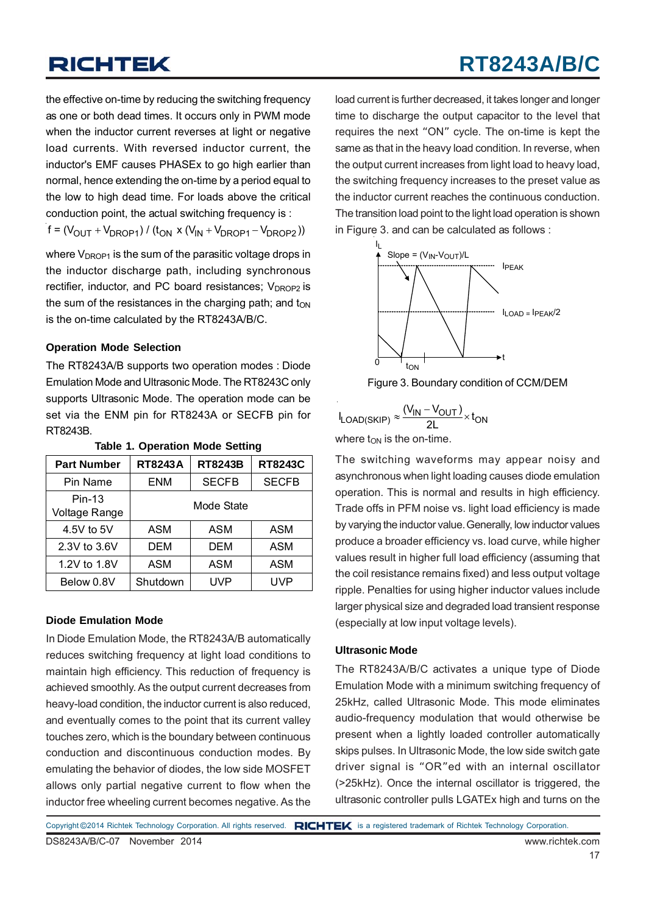# **RT8243A/B/C**

the effective on-time by reducing the switching frequency as one or both dead times. It occurs only in PWM mode when the inductor current reverses at light or negative load currents. With reversed inductor current, the inductor's EMF causes PHASEx to go high earlier than normal, hence extending the on-time by a period equal to the low to high dead time. For loads above the critical conduction point, the actual switching frequency is :

 $f = (V_{\text{OUT}} + V_{\text{DROP1}}) / (t_{\text{ON}} \times (V_{\text{IN}} + V_{\text{DROP1}} - V_{\text{DROP2}}))$ 

where  $V_{DROP1}$  is the sum of the parasitic voltage drops in the inductor discharge path, including synchronous rectifier, inductor, and PC board resistances;  $V_{DROP2}$  is the sum of the resistances in the charging path; and  $t_{ON}$ is the on-time calculated by the RT8243A/B/C.

#### **Operation Mode Selection**

The RT8243A/B supports two operation modes : Diode Emulation Mode and Ultrasonic Mode. The RT8243C only supports Ultrasonic Mode. The operation mode can be set via the ENM pin for RT8243A or SECFB pin for RT8243B.

| <b>Part Number</b>               | <b>RT8243A</b>      | <b>RT8243B</b> | <b>RT8243C</b> |  |
|----------------------------------|---------------------|----------------|----------------|--|
| Pin Name                         | <b>SECFB</b><br>ENM |                | <b>SECFB</b>   |  |
| $Pin-13$<br><b>Voltage Range</b> | Mode State          |                |                |  |
| 4.5V to 5V                       | ASM                 | ASM            | ASM            |  |
| 2.3V to 3.6V                     | <b>DEM</b>          | DEM            | <b>ASM</b>     |  |
| 1.2V to 1.8V                     | ASM                 | ASM            | ASM            |  |
| Below 0.8V                       | Shutdown            | UVP            | UVP            |  |

#### **Table 1. Operation Mode Setting**

#### **Diode Emulation Mode**

In Diode Emulation Mode, the RT8243A/B automatically reduces switching frequency at light load conditions to maintain high efficiency. This reduction of frequency is achieved smoothly. As the output current decreases from heavy-load condition, the inductor current is also reduced, and eventually comes to the point that its current valley touches zero, which is the boundary between continuous conduction and discontinuous conduction modes. By emulating the behavior of diodes, the low side MOSFET allows only partial negative current to flow when the inductor free wheeling current becomes negative. As the

load current is further decreased, it takes longer and longer time to discharge the output capacitor to the level that requires the next "ON" cycle. The on-time is kept the same as that in the heavy load condition. In reverse, when the output current increases from light load to heavy load, the switching frequency increases to the preset value as the inductor current reaches the continuous conduction. The transition load point to the light load operation is shown in Figure 3. and can be calculated as follows :



Figure 3. Boundary condition of CCM/DEM

| $I_{LOAD(SKIP)} \approx \frac{(V_{IN} - V_{OUT})}{2!} \times t_{ON}$ |  |
|----------------------------------------------------------------------|--|
|                                                                      |  |
|                                                                      |  |

where  $t_{ON}$  is the on-time.

The switching waveforms may appear noisy and asynchronous when light loading causes diode emulation operation. This is normal and results in high efficiency. Trade offs in PFM noise vs. light load efficiency is made by varying the inductor value. Generally, low inductor values produce a broader efficiency vs. load curve, while higher values result in higher full load efficiency (assuming that the coil resistance remains fixed) and less output voltage ripple. Penalties for using higher inductor values include larger physical size and degraded load transient response (especially at low input voltage levels).

#### **Ultrasonic Mode**

The RT8243A/B/C activates a unique type of Diode Emulation Mode with a minimum switching frequency of 25kHz, called Ultrasonic Mode. This mode eliminates audio-frequency modulation that would otherwise be present when a lightly loaded controller automatically skips pulses. In Ultrasonic Mode, the low side switch gate driver signal is "OR"ed with an internal oscillator (>25kHz). Once the internal oscillator is triggered, the ultrasonic controller pulls LGATEx high and turns on the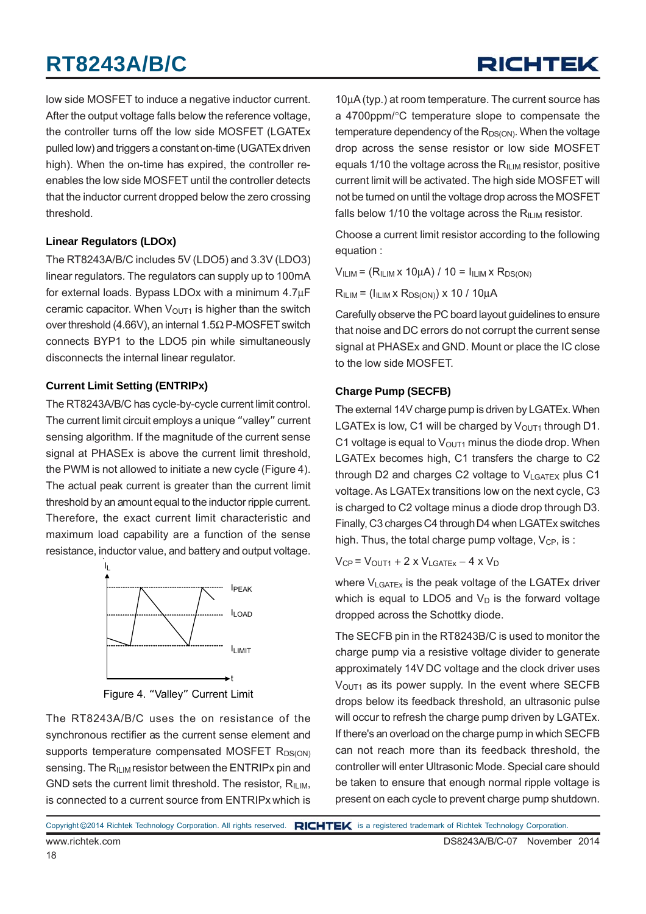# RICHTEK

low side MOSFET to induce a negative inductor current. After the output voltage falls below the reference voltage, the controller turns off the low side MOSFET (LGATEx pulled low) and triggers a constant on-time (UGATExdriven high). When the on-time has expired, the controller reenables the low side MOSFET until the controller detects that the inductor current dropped below the zero crossing threshold.

#### **Linear Regulators (LDOx)**

The RT8243A/B/C includes 5V (LDO5) and 3.3V (LDO3) linear regulators. The regulators can supply up to 100mA for external loads. Bypass LDOx with a minimum 4.7μF ceramic capacitor. When  $V<sub>OUT1</sub>$  is higher than the switch over threshold (4.66V), an internal 1.5Ω P-MOSFET switch connects BYP1 to the LDO5 pin while simultaneously disconnects the internal linear regulator.

#### **Current Limit Setting (ENTRIPx)**

The RT8243A/B/C has cycle-by-cycle current limit control. The current limit circuit employs a unique "valley" current sensing algorithm. If the magnitude of the current sense signal at PHASEx is above the current limit threshold, the PWM is not allowed to initiate a new cycle (Figure 4). The actual peak current is greater than the current limit threshold by an amount equal to the inductor ripple current. Therefore, the exact current limit characteristic and maximum load capability are a function of the sense resistance, inductor value, and battery and output voltage.



Figure 4. "Valley" Current Limit

The RT8243A/B/C uses the on resistance of the synchronous rectifier as the current sense element and supports temperature compensated MOSFET  $R_{DS(ON)}$ sensing. The  $R_{\text{II-M}}$  resistor between the ENTRIPx pin and GND sets the current limit threshold. The resistor,  $R_{\text{II IM}}$ , is connected to a current source from ENTRIPx which is

10μA (typ.) at room temperature. The current source has a 4700ppm/°C temperature slope to compensate the temperature dependency of the  $R_{DS(ON)}$ . When the voltage drop across the sense resistor or low side MOSFET equals 1/10 the voltage across the  $R_{\text{IUM}}$  resistor, positive current limit will be activated. The high side MOSFET will not be turned on until the voltage drop across the MOSFET falls below 1/10 the voltage across the  $R_{II,IM}$  resistor.

Choose a current limit resistor according to the following equation :

 $V<sub>ILIM</sub> = (R<sub>ILIM</sub> x 10µA) / 10 = I<sub>ILIM</sub> x R<sub>DS(ON)</sub>$ 

 $R<sub>ILIM</sub> = (I<sub>ILIM</sub> × R<sub>DS(ON)</sub>) × 10 / 10<sub>µ</sub>A$ 

Carefully observe the PC board layout guidelines to ensure that noise and DC errors do not corrupt the current sense signal at PHASEx and GND. Mount or place the IC close to the low side MOSFET.

#### **Charge Pump (SECFB)**

The external 14V charge pump is driven by LGATEx. When LGATEx is low, C1 will be charged by  $V_{\text{OUT1}}$  through D1. C1 voltage is equal to  $V<sub>OUT1</sub>$  minus the diode drop. When LGATEx becomes high, C1 transfers the charge to C2 through D2 and charges C2 voltage to  $V_{LGATFX}$  plus C1 voltage. As LGATEx transitions low on the next cycle, C3 is charged to C2 voltage minus a diode drop through D3. Finally, C3 charges C4 through D4 when LGATEx switches high. Thus, the total charge pump voltage,  $V_{CP}$ , is :

 $V_{CP}$  =  $V_{OUT1}$  + 2 x  $V_{LGATEX}$  – 4 x  $V_D$ 

where V<sub>LGATEx</sub> is the peak voltage of the LGATEx driver which is equal to LDO5 and  $V_D$  is the forward voltage dropped across the Schottky diode.

The SECFB pin in the RT8243B/C is used to monitor the charge pump via a resistive voltage divider to generate approximately 14V DC voltage and the clock driver uses  $V<sub>OUT1</sub>$  as its power supply. In the event where SECFB drops below its feedback threshold, an ultrasonic pulse will occur to refresh the charge pump driven by LGATEx. If there's an overload on the charge pump in which SECFB can not reach more than its feedback threshold, the controller will enter Ultrasonic Mode. Special care should be taken to ensure that enough normal ripple voltage is present on each cycle to prevent charge pump shutdown.

Copyright ©2014 Richtek Technology Corporation. All rights reserved. RICHTEK is a registered trademark of Richtek Technology Corporation.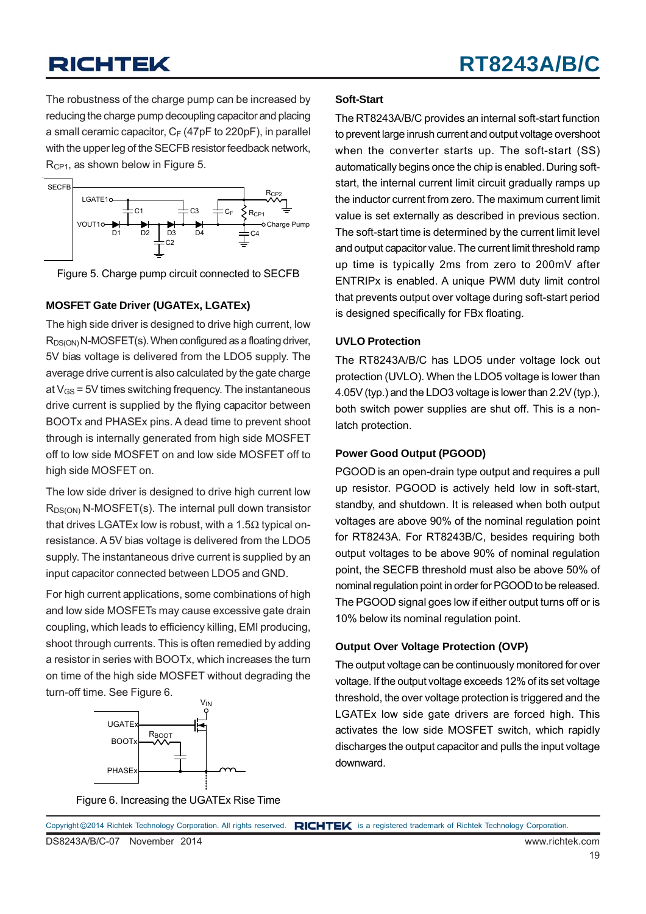The robustness of the charge pump can be increased by reducing the charge pump decoupling capacitor and placing a small ceramic capacitor,  $C_F$  (47pF to 220pF), in parallel with the upper leg of the SECFB resistor feedback network, R<sub>CP1</sub>, as shown below in Figure 5.





#### **MOSFET Gate Driver (UGATEx, LGATEx)**

The high side driver is designed to drive high current, low  $R_{DS(ON)}$  N-MOSFET(s). When configured as a floating driver, 5V bias voltage is delivered from the LDO5 supply. The average drive current is also calculated by the gate charge at  $V_{\text{GS}}$  = 5V times switching frequency. The instantaneous drive current is supplied by the flying capacitor between BOOTx and PHASEx pins. A dead time to prevent shoot through is internally generated from high side MOSFET off to low side MOSFET on and low side MOSFET off to high side MOSFET on.

The low side driver is designed to drive high current low  $R_{DS(ON)}$  N-MOSFET(s). The internal pull down transistor that drives LGATEx low is robust, with a 1.5 $Ω$  typical onresistance. A 5V bias voltage is delivered from the LDO5 supply. The instantaneous drive current is supplied by an input capacitor connected between LDO5 and GND.

For high current applications, some combinations of high and low side MOSFETs may cause excessive gate drain coupling, which leads to efficiency killing, EMI producing, shoot through currents. This is often remedied by adding a resistor in series with BOOTx, which increases the turn on time of the high side MOSFET without degrading the turn-off time. See Figure 6.



#### **Soft-Start**

The RT8243A/B/C provides an internal soft-start function to prevent large inrush current and output voltage overshoot when the converter starts up. The soft-start (SS) automatically begins once the chip is enabled. During softstart, the internal current limit circuit gradually ramps up the inductor current from zero. The maximum current limit value is set externally as described in previous section. The soft-start time is determined by the current limit level and output capacitor value. The current limit threshold ramp up time is typically 2ms from zero to 200mV after ENTRIPx is enabled. A unique PWM duty limit control that prevents output over voltage during soft-start period is designed specifically for FBx floating.

#### **UVLO Protection**

The RT8243A/B/C has LDO5 under voltage lock out protection (UVLO). When the LDO5 voltage is lower than 4.05V (typ.) and the LDO3 voltage is lower than 2.2V (typ.), both switch power supplies are shut off. This is a nonlatch protection.

#### **Power Good Output (PGOOD)**

PGOOD is an open-drain type output and requires a pull up resistor. PGOOD is actively held low in soft-start, standby, and shutdown. It is released when both output voltages are above 90% of the nominal regulation point for RT8243A. For RT8243B/C, besides requiring both output voltages to be above 90% of nominal regulation point, the SECFB threshold must also be above 50% of nominal regulation point in order for PGOOD to be released. The PGOOD signal goes low if either output turns off or is 10% below its nominal regulation point.

#### **Output Over Voltage Protection (OVP)**

The output voltage can be continuously monitored for over voltage. If the output voltage exceeds 12% of its set voltage threshold, the over voltage protection is triggered and the LGATEx low side gate drivers are forced high. This activates the low side MOSFET switch, which rapidly discharges the output capacitor and pulls the input voltage downward.

Figure 6. Increasing the UGATEx Rise Time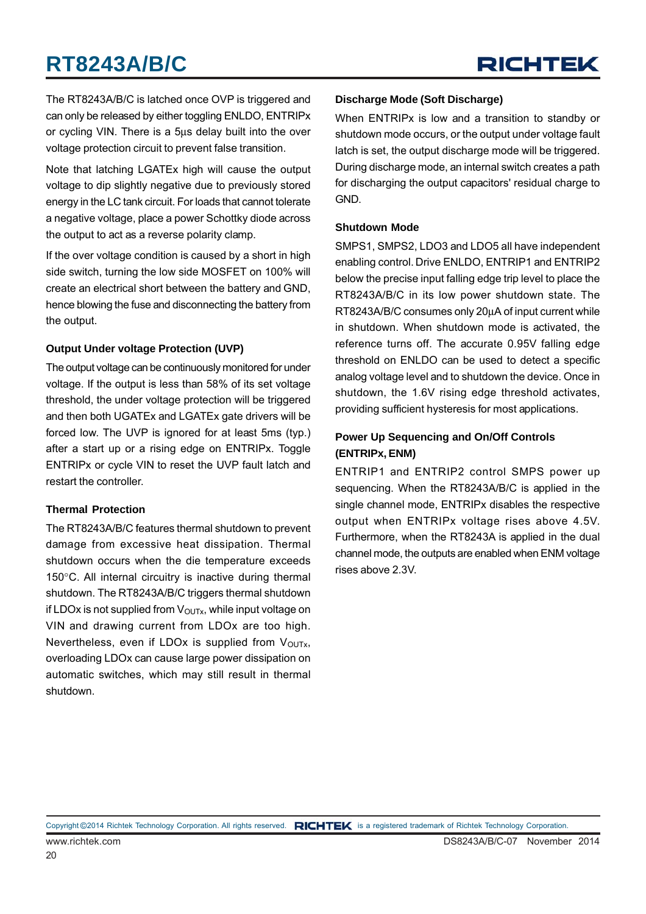The RT8243A/B/C is latched once OVP is triggered and can only be released by either toggling ENLDO, ENTRIPx or cycling VIN. There is a 5μs delay built into the over voltage protection circuit to prevent false transition.

Note that latching LGATEx high will cause the output voltage to dip slightly negative due to previously stored energy in the LC tank circuit. For loads that cannot tolerate a negative voltage, place a power Schottky diode across the output to act as a reverse polarity clamp.

If the over voltage condition is caused by a short in high side switch, turning the low side MOSFET on 100% will create an electrical short between the battery and GND, hence blowing the fuse and disconnecting the battery from the output.

#### **Output Under voltage Protection (UVP)**

The output voltage can be continuously monitored for under voltage. If the output is less than 58% of its set voltage threshold, the under voltage protection will be triggered and then both UGATEx and LGATEx gate drivers will be forced low. The UVP is ignored for at least 5ms (typ.) after a start up or a rising edge on ENTRIPx. Toggle ENTRIPx or cycle VIN to reset the UVP fault latch and restart the controller.

#### **Thermal Protection**

The RT8243A/B/C features thermal shutdown to prevent damage from excessive heat dissipation. Thermal shutdown occurs when the die temperature exceeds 150°C. All internal circuitry is inactive during thermal shutdown. The RT8243A/B/C triggers thermal shutdown if LDOx is not supplied from  $V_{\text{OUTx}}$ , while input voltage on VIN and drawing current from LDOx are too high. Nevertheless, even if LDOx is supplied from  $V_{\text{OUTx}}$ , overloading LDOx can cause large power dissipation on automatic switches, which may still result in thermal shutdown.

#### **Discharge Mode (Soft Discharge)**

When ENTRIPx is low and a transition to standby or shutdown mode occurs, or the output under voltage fault latch is set, the output discharge mode will be triggered. During discharge mode, an internal switch creates a path for discharging the output capacitors' residual charge to GND.

#### **Shutdown Mode**

SMPS1, SMPS2, LDO3 and LDO5 all have independent enabling control. Drive ENLDO, ENTRIP1 and ENTRIP2 below the precise input falling edge trip level to place the RT8243A/B/C in its low power shutdown state. The RT8243A/B/C consumes only 20μA of input current while in shutdown. When shutdown mode is activated, the reference turns off. The accurate 0.95V falling edge threshold on ENLDO can be used to detect a specific analog voltage level and to shutdown the device. Once in shutdown, the 1.6V rising edge threshold activates, providing sufficient hysteresis for most applications.

#### **Power Up Sequencing and On/Off Controls (ENTRIPx, ENM)**

ENTRIP1 and ENTRIP2 control SMPS power up sequencing. When the RT8243A/B/C is applied in the single channel mode, ENTRIPx disables the respective output when ENTRIPx voltage rises above 4.5V. Furthermore, when the RT8243A is applied in the dual channel mode, the outputs are enabled when ENM voltage rises above 2.3V.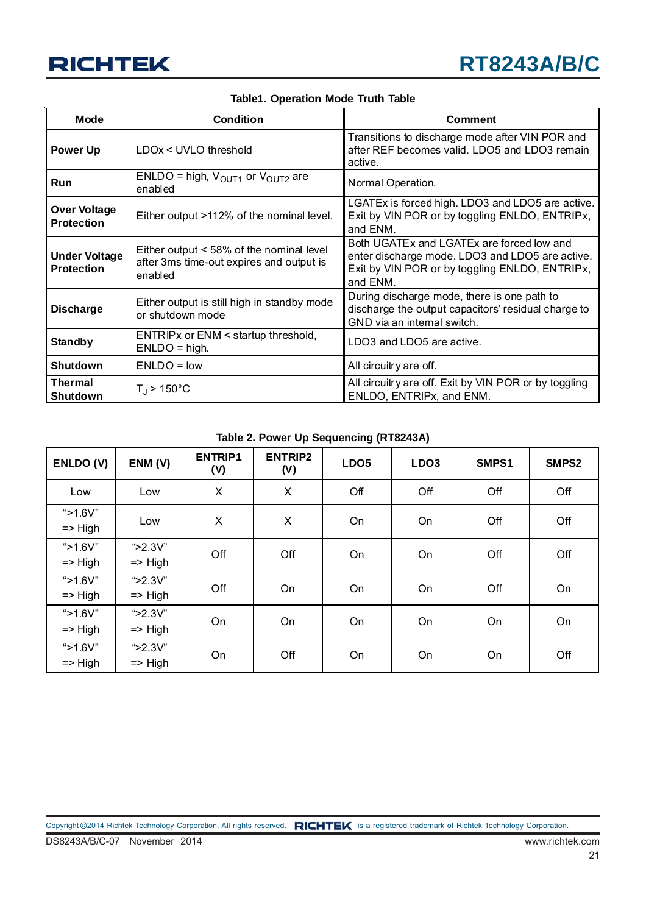

#### **Table1. Operation Mode Truth Table**

| Mode                                                                                  | <b>Condition</b>                                                                                | <b>Comment</b>                                                                                                                                             |  |  |  |
|---------------------------------------------------------------------------------------|-------------------------------------------------------------------------------------------------|------------------------------------------------------------------------------------------------------------------------------------------------------------|--|--|--|
| <b>Power Up</b>                                                                       | LDOx < UVLO threshold                                                                           | Transitions to discharge mode after VIN POR and<br>after REF becomes valid. LDO5 and LDO3 remain<br>active.                                                |  |  |  |
| Run                                                                                   | ENLDO = high, $V_{OUT1}$ or $V_{OUT2}$ are<br>enabled                                           | Normal Operation.                                                                                                                                          |  |  |  |
| <b>Over Voltage</b><br>Either output >112% of the nominal level.<br><b>Protection</b> |                                                                                                 | LGATEx is forced high. LDO3 and LDO5 are active.<br>Exit by VIN POR or by toggling ENLDO, ENTRIPX,<br>and ENM.                                             |  |  |  |
| <b>Under Voltage</b><br><b>Protection</b>                                             | Either output < 58% of the nominal level<br>after 3ms time-out expires and output is<br>enabled | Both UGATEx and LGATEx are forced low and<br>enter discharge mode. LDO3 and LDO5 are active.<br>Exit by VIN POR or by toggling ENLDO, ENTRIPX,<br>and ENM. |  |  |  |
| <b>Discharge</b>                                                                      | Either output is still high in standby mode<br>or shutdown mode                                 | During discharge mode, there is one path to<br>discharge the output capacitors' residual charge to<br>GND via an internal switch.                          |  |  |  |
| <b>Standby</b>                                                                        | ENTRIPx or ENM < startup threshold,<br>$ENLDO = high.$                                          | LDO3 and LDO5 are active.                                                                                                                                  |  |  |  |
| <b>Shutdown</b>                                                                       | $ENLDO = low$                                                                                   | All circuitry are off.                                                                                                                                     |  |  |  |
| <b>Thermal</b><br>Shutdown                                                            | $T_{\rm J}$ > 150°C                                                                             | All circuitry are off. Exit by VIN POR or by toggling<br>ENLDO, ENTRIPx, and ENM.                                                                          |  |  |  |

**Table 2. Power Up Sequencing (RT8243A)**

| ENLDO (V)                         | ENM (V)                           | <b>ENTRIP1</b><br>(V) | <b>ENTRIP2</b><br>(V) | LDO <sub>5</sub> | LDO <sub>3</sub> | SMPS1 | SMPS2 |
|-----------------------------------|-----------------------------------|-----------------------|-----------------------|------------------|------------------|-------|-------|
| Low                               | Low                               | X                     | X                     | Off              | Off              | Off   | Off   |
| " $>1.6V$ "<br>$\Rightarrow$ High | Low                               | X                     | X                     | On               | On               | Off   | Off   |
| " $>1.6V$ "<br>$\Rightarrow$ High | " $>2.3V$ "<br>$\Rightarrow$ High | Off                   | Off                   | On               | On               | Off   | Off   |
| " $>1.6V$ "<br>$\Rightarrow$ High | " $>2.3V$ "<br>$\Rightarrow$ High | Off                   | On                    | On               | On               | Off   | On    |
| " $>1.6V$ "<br>$\Rightarrow$ High | " $>2.3V$ "<br>$\Rightarrow$ High | On                    | On                    | On               | On               | On    | On    |
| " $>1.6V$ "<br>$\Rightarrow$ High | " $>2.3V$ "<br>$\Rightarrow$ High | On                    | Off                   | On               | On               | On    | Off   |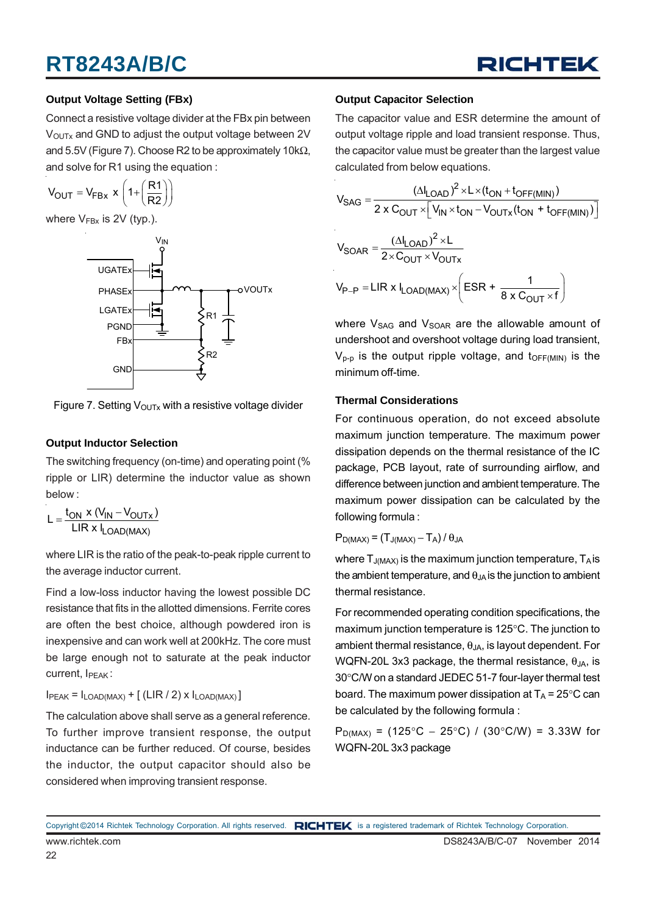

#### **Output Voltage Setting (FBx)**

Connect a resistive voltage divider at the FBx pin between V<sub>OUTx</sub> and GND to adjust the output voltage between 2V and 5.5V (Figure 7). Choose R2 to be approximately 10k $\Omega$ , and solve for R1 using the equation :

 $V_{\text{OUT}} = V_{\text{FBx}} \times \left(1 + \left(\frac{R1}{R2}\right)\right)$ 

where  $V_{Fbx}$  is 2V (typ.).



Figure 7. Setting  $V_{\text{OUTX}}$  with a resistive voltage divider

#### **Output Inductor Selection**

The switching frequency (on-time) and operating point (% ripple or LIR) determine the inductor value as shown below :

$$
L = \frac{t_{ON} \times (V_{IN} - V_{OUTx})}{LIR \times I_{LOAD(MAX)}}
$$

where LIR is the ratio of the peak-to-peak ripple current to the average inductor current.

Find a low-loss inductor having the lowest possible DC resistance that fits in the allotted dimensions. Ferrite cores are often the best choice, although powdered iron is inexpensive and can work well at 200kHz. The core must be large enough not to saturate at the peak inductor  $current, I_{PER}$ :

 $I_{PEAK} = I_{LOAD(MAX)} + [(LIR/2) \times I_{LOAD(MAX)}]$ 

The calculation above shall serve as a general reference. To further improve transient response, the output inductance can be further reduced. Of course, besides the inductor, the output capacitor should also be considered when improving transient response.

#### **Output Capacitor Selection**

The capacitor value and ESR determine the amount of output voltage ripple and load transient response. Thus, the capacitor value must be greater than the largest value calculated from below equations.

$$
V_{SAG} = \frac{(\Delta I_{LOAD})^2 \times L \times (t_{ON} + t_{OFF(MIN)})}{2 \times C_{OUT} \times [V_{IN} \times t_{ON} - V_{OUTX}(t_{ON} + t_{OFF(MIN)})]}
$$
  

$$
V_{SOAR} = \frac{(\Delta I_{LOAD})^2 \times L}{2 \times C_{OUT} \times V_{OUTX}}
$$
  

$$
V_{P-P} = LIR \times I_{LOAD(MAX)} \times \left( ESR + \frac{1}{8 \times C_{OUT} \times f} \right)
$$

where V<sub>SAG</sub> and V<sub>SOAR</sub> are the allowable amount of undershoot and overshoot voltage during load transient,  $V_{p-p}$  is the output ripple voltage, and t<sub>OFF(MIN)</sub> is the minimum off-time.

#### **Thermal Considerations**

For continuous operation, do not exceed absolute maximum junction temperature. The maximum power dissipation depends on the thermal resistance of the IC package, PCB layout, rate of surrounding airflow, and difference between junction and ambient temperature. The maximum power dissipation can be calculated by the following formula :

 $P_{D(MAX)} = (T_{J(MAX)} - T_A)/\theta_{JA}$ 

where  $T_{J(MAX)}$  is the maximum junction temperature,  $T_A$  is the ambient temperature, and  $\theta_{JA}$  is the junction to ambient thermal resistance.

For recommended operating condition specifications, the maximum junction temperature is 125°C. The junction to ambient thermal resistance,  $\theta_{JA}$ , is layout dependent. For WQFN-20L 3x3 package, the thermal resistance,  $\theta_{JA}$ , is 30°C/W on a standard JEDEC 51-7 four-layer thermal test board. The maximum power dissipation at  $T_A = 25^{\circ}$ C can be calculated by the following formula :

 $P_{D(MAX)}$  = (125°C − 25°C) / (30°C/W) = 3.33W for WQFN-20L 3x3 package

www.richtek.com DS8243A/B/C-07 November 2014 Copyright ©2014 Richtek Technology Corporation. All rights reserved. RICHTEK is a registered trademark of Richtek Technology Corporation.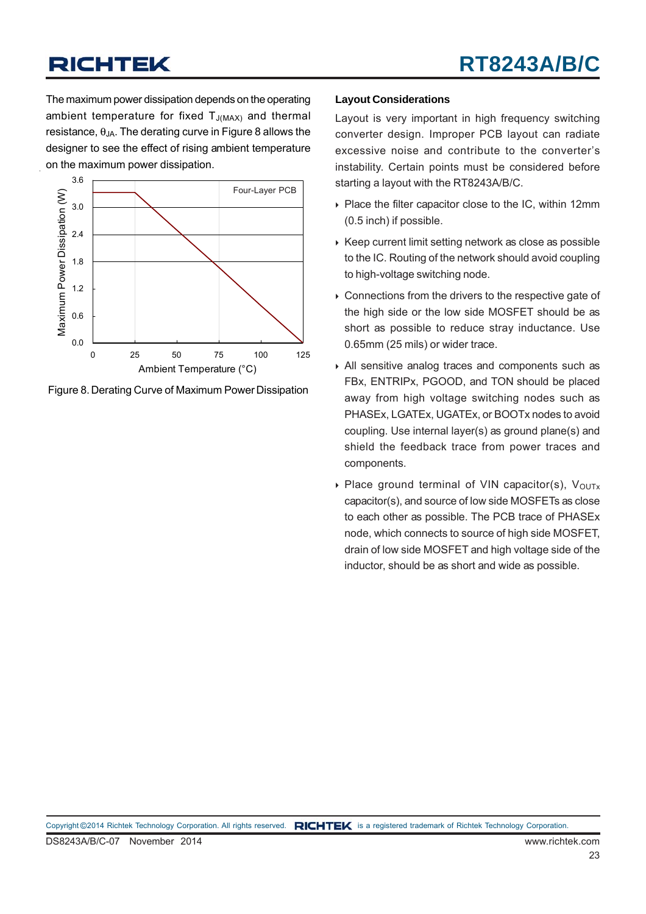The maximum power dissipation depends on the operating ambient temperature for fixed  $T_{J(MAX)}$  and thermal resistance,  $\theta_{JA}$ . The derating curve in Figure 8 allows the designer to see the effect of rising ambient temperature on the maximum power dissipation.



Figure 8. Derating Curve of Maximum Power Dissipation

#### **Layout Considerations**

Layout is very important in high frequency switching converter design. Improper PCB layout can radiate excessive noise and contribute to the converter's instability. Certain points must be considered before starting a layout with the RT8243A/B/C.

- ▶ Place the filter capacitor close to the IC, within 12mm (0.5 inch) if possible.
- $\triangleright$  Keep current limit setting network as close as possible to the IC. Routing of the network should avoid coupling to high-voltage switching node.
- ▶ Connections from the drivers to the respective gate of the high side or the low side MOSFET should be as short as possible to reduce stray inductance. Use 0.65mm (25 mils) or wider trace.
- All sensitive analog traces and components such as FBx, ENTRIPx, PGOOD, and TON should be placed away from high voltage switching nodes such as PHASEx, LGATEx, UGATEx, or BOOTx nodes to avoid coupling. Use internal layer(s) as ground plane(s) and shield the feedback trace from power traces and components.
- Place ground terminal of VIN capacitor(s),  $V_{\text{OUTx}}$ capacitor(s), and source of low side MOSFETs as close to each other as possible. The PCB trace of PHASEx node, which connects to source of high side MOSFET, drain of low side MOSFET and high voltage side of the inductor, should be as short and wide as possible.